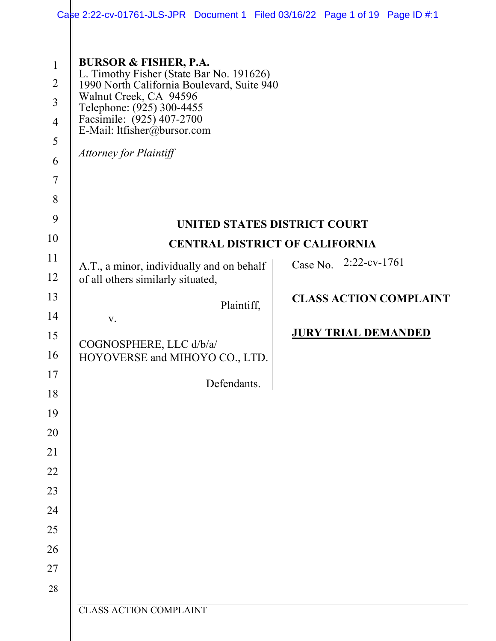|                                                                                                     | Case 2:22-cv-01761-JLS-JPR Document 1 Filed 03/16/22 Page 1 of 19 Page ID #:1                                                                                                                                                                                                  |                                       |
|-----------------------------------------------------------------------------------------------------|--------------------------------------------------------------------------------------------------------------------------------------------------------------------------------------------------------------------------------------------------------------------------------|---------------------------------------|
| $\mathbf{1}$<br>$\overline{2}$<br>$\overline{3}$<br>$\overline{4}$<br>5<br>6<br>$\overline{7}$<br>8 | <b>BURSOR &amp; FISHER, P.A.</b><br>L. Timothy Fisher (State Bar No. 191626)<br>1990 North California Boulevard, Suite 940<br>Walnut Creek, CA 94596<br>Telephone: (925) 300-4455<br>Facsimile: (925) 407-2700<br>E-Mail: ltfisher@bursor.com<br><b>Attorney for Plaintiff</b> |                                       |
| 9                                                                                                   |                                                                                                                                                                                                                                                                                | UNITED STATES DISTRICT COURT          |
| 10                                                                                                  |                                                                                                                                                                                                                                                                                | <b>CENTRAL DISTRICT OF CALIFORNIA</b> |
| 11<br>12                                                                                            | A.T., a minor, individually and on behalf<br>of all others similarly situated,                                                                                                                                                                                                 | $2:22$ -cv-1761<br>Case No.           |
| 13<br>14                                                                                            | Plaintiff,                                                                                                                                                                                                                                                                     | <b>CLASS ACTION COMPLAINT</b>         |
| 15                                                                                                  | V.                                                                                                                                                                                                                                                                             | <b>JURY TRIAL DEMANDED</b>            |
| 16                                                                                                  | COGNOSPHERE, LLC d/b/a/<br>HOYOVERSE and MIHOYO CO., LTD.                                                                                                                                                                                                                      |                                       |
| 17                                                                                                  | Defendants.                                                                                                                                                                                                                                                                    |                                       |
| 18                                                                                                  |                                                                                                                                                                                                                                                                                |                                       |
| 19<br>20                                                                                            |                                                                                                                                                                                                                                                                                |                                       |
| 21                                                                                                  |                                                                                                                                                                                                                                                                                |                                       |
| 22                                                                                                  |                                                                                                                                                                                                                                                                                |                                       |
| 23                                                                                                  |                                                                                                                                                                                                                                                                                |                                       |
| 24                                                                                                  |                                                                                                                                                                                                                                                                                |                                       |
| 25                                                                                                  |                                                                                                                                                                                                                                                                                |                                       |
| 26                                                                                                  |                                                                                                                                                                                                                                                                                |                                       |
| 27                                                                                                  |                                                                                                                                                                                                                                                                                |                                       |
| 28                                                                                                  |                                                                                                                                                                                                                                                                                |                                       |
|                                                                                                     | <b>CLASS ACTION COMPLAINT</b>                                                                                                                                                                                                                                                  |                                       |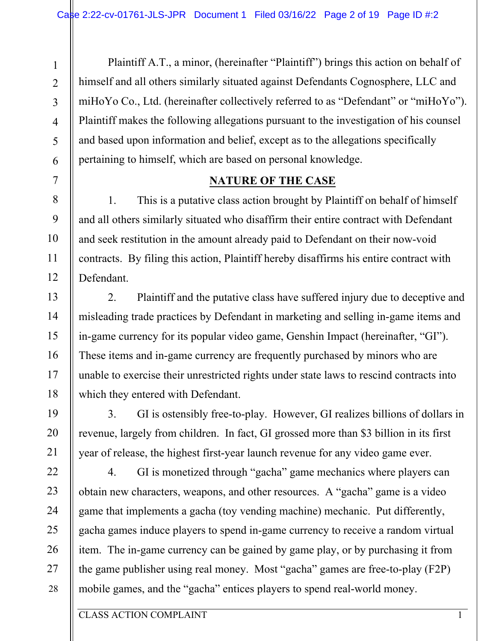Plaintiff A.T., a minor, (hereinafter "Plaintiff") brings this action on behalf of himself and all others similarly situated against Defendants Cognosphere, LLC and miHoYo Co., Ltd. (hereinafter collectively referred to as "Defendant" or "miHoYo"). Plaintiff makes the following allegations pursuant to the investigation of his counsel and based upon information and belief, except as to the allegations specifically pertaining to himself, which are based on personal knowledge.

## **NATURE OF THE CASE**

1. This is a putative class action brought by Plaintiff on behalf of himself and all others similarly situated who disaffirm their entire contract with Defendant and seek restitution in the amount already paid to Defendant on their now-void contracts. By filing this action, Plaintiff hereby disaffirms his entire contract with Defendant.

2. Plaintiff and the putative class have suffered injury due to deceptive and misleading trade practices by Defendant in marketing and selling in-game items and in-game currency for its popular video game, Genshin Impact (hereinafter, "GI"). These items and in-game currency are frequently purchased by minors who are unable to exercise their unrestricted rights under state laws to rescind contracts into which they entered with Defendant.

3. GI is ostensibly free-to-play. However, GI realizes billions of dollars in revenue, largely from children. In fact, GI grossed more than \$3 billion in its first year of release, the highest first-year launch revenue for any video game ever.

4. GI is monetized through "gacha" game mechanics where players can obtain new characters, weapons, and other resources. A "gacha" game is a video game that implements a gacha (toy vending machine) mechanic. Put differently, gacha games induce players to spend in-game currency to receive a random virtual item. The in-game currency can be gained by game play, or by purchasing it from the game publisher using real money. Most "gacha" games are free-to-play (F2P) mobile games, and the "gacha" entices players to spend real-world money.

CLASS ACTION COMPLAINT 1

1

2

3

4

5

6

7

8

9

10

11

12

13

14

15

16

17

18

19

20

21

22

23

24

25

26

27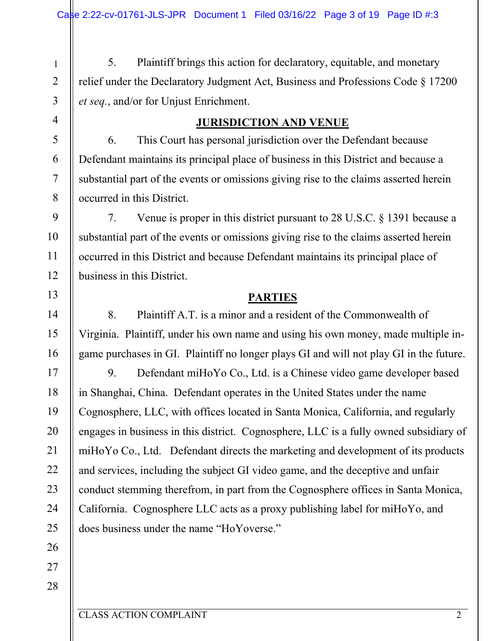5. Plaintiff brings this action for declaratory, equitable, and monetary relief under the Declaratory Judgment Act, Business and Professions Code § 17200 *et seq.*, and/or for Unjust Enrichment.

### **JURISDICTION AND VENUE**

6. This Court has personal jurisdiction over the Defendant because Defendant maintains its principal place of business in this District and because a substantial part of the events or omissions giving rise to the claims asserted herein occurred in this District.

7. Venue is proper in this district pursuant to 28 U.S.C. § 1391 because a substantial part of the events or omissions giving rise to the claims asserted herein occurred in this District and because Defendant maintains its principal place of business in this District.

## **PARTIES**

8. Plaintiff A.T. is a minor and a resident of the Commonwealth of Virginia. Plaintiff, under his own name and using his own money, made multiple ingame purchases in GI. Plaintiff no longer plays GI and will not play GI in the future.

9. Defendant miHoYo Co., Ltd. is a Chinese video game developer based in Shanghai, China. Defendant operates in the United States under the name Cognosphere, LLC, with offices located in Santa Monica, California, and regularly engages in business in this district. Cognosphere, LLC is a fully owned subsidiary of miHoYo Co., Ltd. Defendant directs the marketing and development of its products and services, including the subject GI video game, and the deceptive and unfair conduct stemming therefrom, in part from the Cognosphere offices in Santa Monica, California. Cognosphere LLC acts as a proxy publishing label for miHoYo, and does business under the name "HoYoverse."

1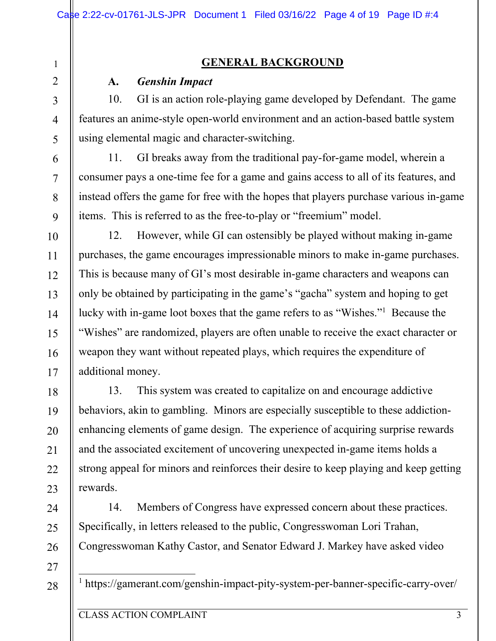### **GENERAL BACKGROUND**

### **A.** *Genshin Impact*

1

2

3

4

5

6

7

8

9

10

11

12

13

14

15

16

17

18

19

20

21

22

23

24

25

26

27

28

10. GI is an action role-playing game developed by Defendant. The game features an anime-style open-world environment and an action-based battle system using elemental magic and character-switching.

11. GI breaks away from the traditional pay-for-game model, wherein a consumer pays a one-time fee for a game and gains access to all of its features, and instead offers the game for free with the hopes that players purchase various in-game items. This is referred to as the free-to-play or "freemium" model.

12. However, while GI can ostensibly be played without making in-game purchases, the game encourages impressionable minors to make in-game purchases. This is because many of GI's most desirable in-game characters and weapons can only be obtained by participating in the game's "gacha" system and hoping to get lucky with in-game loot boxes that the game refers to as "Wishes."<sup>1</sup> Because the "Wishes" are randomized, players are often unable to receive the exact character or weapon they want without repeated plays, which requires the expenditure of additional money.

13. This system was created to capitalize on and encourage addictive behaviors, akin to gambling. Minors are especially susceptible to these addictionenhancing elements of game design. The experience of acquiring surprise rewards and the associated excitement of uncovering unexpected in-game items holds a strong appeal for minors and reinforces their desire to keep playing and keep getting rewards.

14. Members of Congress have expressed concern about these practices. Specifically, in letters released to the public, Congresswoman Lori Trahan, Congresswoman Kathy Castor, and Senator Edward J. Markey have asked video

1 https://gamerant.com/genshin-impact-pity-system-per-banner-specific-carry-over/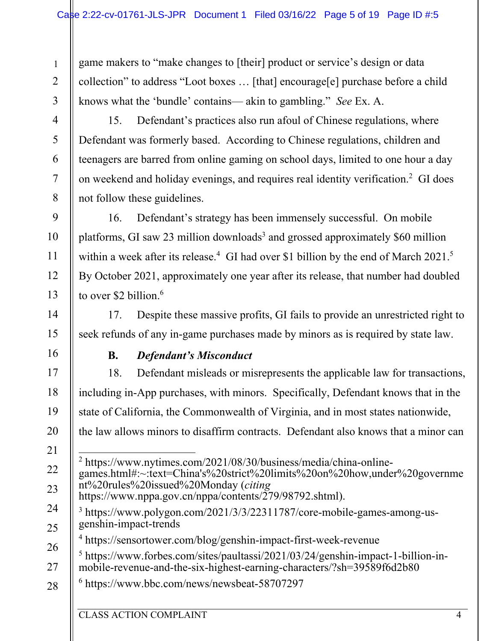game makers to "make changes to [their] product or service's design or data collection" to address "Loot boxes … [that] encourage[e] purchase before a child knows what the 'bundle' contains— akin to gambling." *See* Ex. A.

3 4

5

6

7

8

9

10

11

12

13

14

15

17

18

19

20

21

22

23

1

2

15. Defendant's practices also run afoul of Chinese regulations, where Defendant was formerly based. According to Chinese regulations, children and teenagers are barred from online gaming on school days, limited to one hour a day on weekend and holiday evenings, and requires real identity verification.<sup>2</sup> GI does not follow these guidelines.

16. Defendant's strategy has been immensely successful. On mobile platforms, GI saw 23 million downloads<sup>3</sup> and grossed approximately \$60 million within a week after its release.<sup>4</sup> GI had over \$1 billion by the end of March 2021.<sup>5</sup> By October 2021, approximately one year after its release, that number had doubled to over \$2 billion.<sup>6</sup>

17. Despite these massive profits, GI fails to provide an unrestricted right to seek refunds of any in-game purchases made by minors as is required by state law.

16

### **B.** *Defendant's Misconduct*

18. Defendant misleads or misrepresents the applicable law for transactions, including in-App purchases, with minors. Specifically, Defendant knows that in the state of California, the Commonwealth of Virginia, and in most states nationwide, the law allows minors to disaffirm contracts. Defendant also knows that a minor can

2 https://www.nytimes.com/2021/08/30/business/media/china-onlinegames.html#:~:text=China's%20strict%20limits%20on%20how,under%20governme nt%20rules%20issued%20Monday (*citing* https://www.nppa.gov.cn/nppa/contents/279/98792.shtml).

24 25 3 https://www.polygon.com/2021/3/3/22311787/core-mobile-games-among-usgenshin-impact-trends

4 https://sensortower.com/blog/genshin-impact-first-week-revenue

- 26 27 <sup>5</sup> https://www.forbes.com/sites/paultassi/2021/03/24/genshin-impact-1-billion-inmobile-revenue-and-the-six-highest-earning-characters/?sh=39589f6d2b80
- 28 6 https://www.bbc.com/news/newsbeat-58707297

CLASS ACTION COMPLAINT 4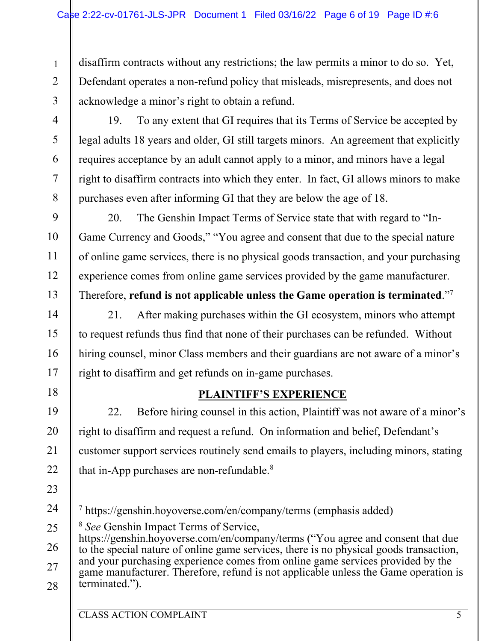disaffirm contracts without any restrictions; the law permits a minor to do so. Yet, Defendant operates a non-refund policy that misleads, misrepresents, and does not acknowledge a minor's right to obtain a refund.

3 4

5

6

7

8

9

10

11

12

13

14

15

16

17

18

19

20

21

22

23

24

25

1

2

19. To any extent that GI requires that its Terms of Service be accepted by legal adults 18 years and older, GI still targets minors. An agreement that explicitly requires acceptance by an adult cannot apply to a minor, and minors have a legal right to disaffirm contracts into which they enter. In fact, GI allows minors to make purchases even after informing GI that they are below the age of 18.

20. The Genshin Impact Terms of Service state that with regard to "In-Game Currency and Goods," "You agree and consent that due to the special nature of online game services, there is no physical goods transaction, and your purchasing experience comes from online game services provided by the game manufacturer. Therefore, **refund is not applicable unless the Game operation is terminated**."<sup>7</sup>

21. After making purchases within the GI ecosystem, minors who attempt to request refunds thus find that none of their purchases can be refunded. Without hiring counsel, minor Class members and their guardians are not aware of a minor's right to disaffirm and get refunds on in-game purchases.

# **PLAINTIFF'S EXPERIENCE**

22. Before hiring counsel in this action, Plaintiff was not aware of a minor's right to disaffirm and request a refund. On information and belief, Defendant's customer support services routinely send emails to players, including minors, stating that in-App purchases are non-refundable. $8$ 

- 7 https://genshin.hoyoverse.com/en/company/terms (emphasis added)
- <sup>8</sup> *See* Genshin Impact Terms of Service,
- 26 27 28 https://genshin.hoyoverse.com/en/company/terms ("You agree and consent that due to the special nature of online game services, there is no physical goods transaction, and your purchasing experience comes from online game services provided by the game manufacturer. Therefore, refund is not applicable unless the Game operation is terminated.").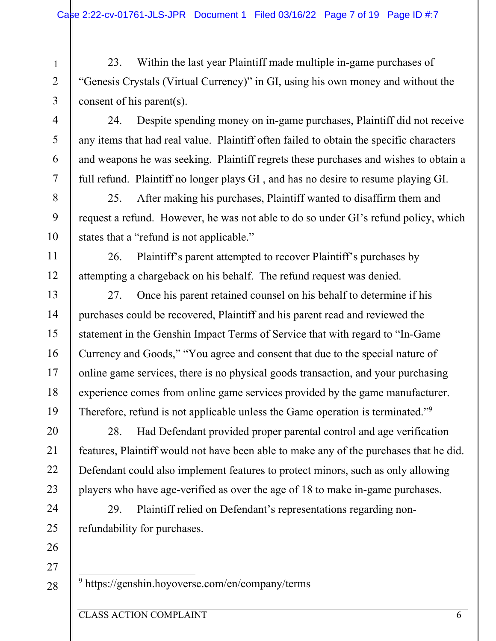23. Within the last year Plaintiff made multiple in-game purchases of "Genesis Crystals (Virtual Currency)" in GI, using his own money and without the consent of his parent(s).

24. Despite spending money on in-game purchases, Plaintiff did not receive any items that had real value. Plaintiff often failed to obtain the specific characters and weapons he was seeking. Plaintiff regrets these purchases and wishes to obtain a full refund. Plaintiff no longer plays GI , and has no desire to resume playing GI.

25. After making his purchases, Plaintiff wanted to disaffirm them and request a refund. However, he was not able to do so under GI's refund policy, which states that a "refund is not applicable."

26. Plaintiff's parent attempted to recover Plaintiff's purchases by attempting a chargeback on his behalf. The refund request was denied.

27. Once his parent retained counsel on his behalf to determine if his purchases could be recovered, Plaintiff and his parent read and reviewed the statement in the Genshin Impact Terms of Service that with regard to "In-Game Currency and Goods," "You agree and consent that due to the special nature of online game services, there is no physical goods transaction, and your purchasing experience comes from online game services provided by the game manufacturer. Therefore, refund is not applicable unless the Game operation is terminated.<sup>"9</sup>

28. Had Defendant provided proper parental control and age verification features, Plaintiff would not have been able to make any of the purchases that he did. Defendant could also implement features to protect minors, such as only allowing players who have age-verified as over the age of 18 to make in-game purchases.

29. Plaintiff relied on Defendant's representations regarding nonrefundability for purchases.

9 https://genshin.hoyoverse.com/en/company/terms

1

2

3

4

5

6

7

8

9

10

11

12

13

14

15

16

17

18

19

20

21

22

23

24

25

26

27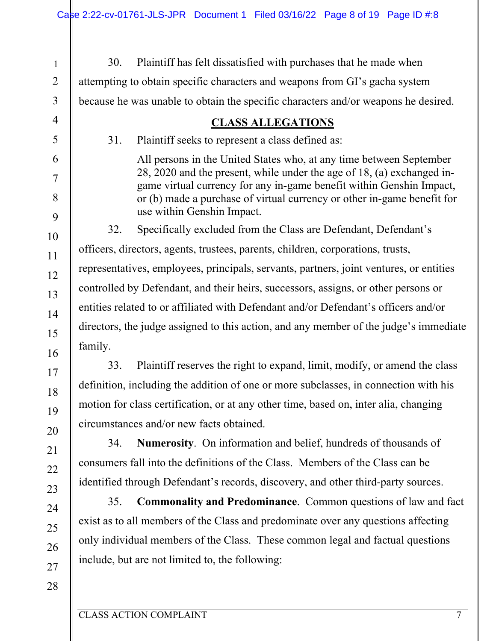| $\mathbf{1}$   | 30.                                                                                   | Plaintiff has felt dissatisfied with purchases that he made when                                                                               |  |
|----------------|---------------------------------------------------------------------------------------|------------------------------------------------------------------------------------------------------------------------------------------------|--|
| $\overline{2}$ | attempting to obtain specific characters and weapons from GI's gacha system           |                                                                                                                                                |  |
| $\overline{3}$ | because he was unable to obtain the specific characters and/or weapons he desired.    |                                                                                                                                                |  |
| $\overline{4}$ |                                                                                       | <b>CLASS ALLEGATIONS</b>                                                                                                                       |  |
| 5              | 31.                                                                                   | Plaintiff seeks to represent a class defined as:                                                                                               |  |
| 6              |                                                                                       | All persons in the United States who, at any time between September                                                                            |  |
| $\overline{7}$ |                                                                                       | 28, 2020 and the present, while under the age of 18, (a) exchanged in-<br>game virtual currency for any in-game benefit within Genshin Impact, |  |
| 8              |                                                                                       | or (b) made a purchase of virtual currency or other in-game benefit for<br>use within Genshin Impact.                                          |  |
| 9              | 32.                                                                                   | Specifically excluded from the Class are Defendant, Defendant's                                                                                |  |
| 10             |                                                                                       | officers, directors, agents, trustees, parents, children, corporations, trusts,                                                                |  |
| 11             |                                                                                       | representatives, employees, principals, servants, partners, joint ventures, or entities                                                        |  |
| 12             |                                                                                       | controlled by Defendant, and their heirs, successors, assigns, or other persons or                                                             |  |
| 13<br>14       | entities related to or affiliated with Defendant and/or Defendant's officers and/or   |                                                                                                                                                |  |
| 15             | directors, the judge assigned to this action, and any member of the judge's immediate |                                                                                                                                                |  |
| 16             | family.                                                                               |                                                                                                                                                |  |
| 17             | 33.                                                                                   | Plaintiff reserves the right to expand, limit, modify, or amend the class                                                                      |  |
| 18             |                                                                                       | definition, including the addition of one or more subclasses, in connection with his                                                           |  |
| 19             |                                                                                       | motion for class certification, or at any other time, based on, inter alia, changing                                                           |  |
| 20             |                                                                                       | circumstances and/or new facts obtained.                                                                                                       |  |
| 21             | 34.                                                                                   | Numerosity. On information and belief, hundreds of thousands of                                                                                |  |
| 22             |                                                                                       | consumers fall into the definitions of the Class. Members of the Class can be                                                                  |  |
| 23             |                                                                                       | identified through Defendant's records, discovery, and other third-party sources.                                                              |  |
| 24             | 35.                                                                                   | <b>Commonality and Predominance.</b> Common questions of law and fact                                                                          |  |
| 25             |                                                                                       | exist as to all members of the Class and predominate over any questions affecting                                                              |  |
| 26             |                                                                                       | only individual members of the Class. These common legal and factual questions                                                                 |  |
| 27             | include, but are not limited to, the following:                                       |                                                                                                                                                |  |
| 28             |                                                                                       |                                                                                                                                                |  |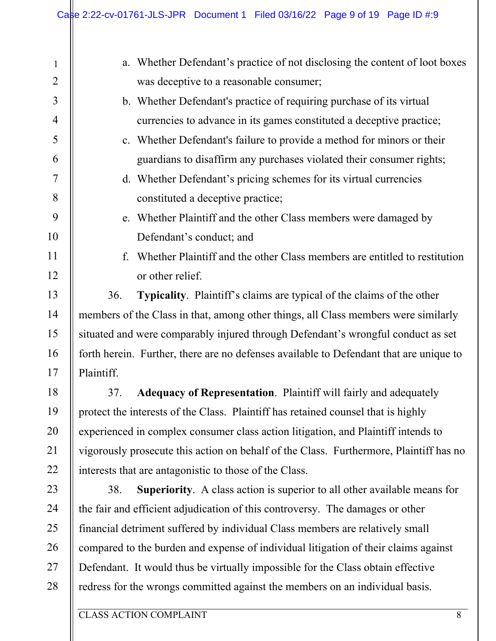| $\mathbf{1}$   | a. Whether Defendant's practice of not disclosing the content of loot boxes            |  |
|----------------|----------------------------------------------------------------------------------------|--|
| $\overline{2}$ | was deceptive to a reasonable consumer;                                                |  |
| $\overline{3}$ | b. Whether Defendant's practice of requiring purchase of its virtual                   |  |
| $\overline{4}$ | currencies to advance in its games constituted a deceptive practice;                   |  |
| 5              | c. Whether Defendant's failure to provide a method for minors or their                 |  |
| 6              | guardians to disaffirm any purchases violated their consumer rights;                   |  |
| $\tau$         | d. Whether Defendant's pricing schemes for its virtual currencies                      |  |
| 8              | constituted a deceptive practice;                                                      |  |
| 9              | e. Whether Plaintiff and the other Class members were damaged by                       |  |
| 10             | Defendant's conduct; and                                                               |  |
| 11             | Whether Plaintiff and the other Class members are entitled to restitution<br>f.        |  |
| 12             | or other relief.                                                                       |  |
| 13             | 36.<br>Typicality. Plaintiff's claims are typical of the claims of the other           |  |
| 14             | members of the Class in that, among other things, all Class members were similarly     |  |
| 15             | situated and were comparably injured through Defendant's wrongful conduct as set       |  |
| 16             | forth herein. Further, there are no defenses available to Defendant that are unique to |  |
| 17             | Plaintiff.                                                                             |  |
| 18             | Adequacy of Representation. Plaintiff will fairly and adequately<br>37.                |  |
| 19             | protect the interests of the Class. Plaintiff has retained counsel that is highly      |  |
| 20             | experienced in complex consumer class action litigation, and Plaintiff intends to      |  |
| 21             | vigorously prosecute this action on behalf of the Class. Furthermore, Plaintiff has no |  |
| 22             | interests that are antagonistic to those of the Class.                                 |  |
| 23             | <b>Superiority.</b> A class action is superior to all other available means for<br>38. |  |
| 24             | the fair and efficient adjudication of this controversy. The damages or other          |  |
| 25             | financial detriment suffered by individual Class members are relatively small          |  |
| 26             | compared to the burden and expense of individual litigation of their claims against    |  |
| 27             | Defendant. It would thus be virtually impossible for the Class obtain effective        |  |

redress for the wrongs committed against the members on an individual basis.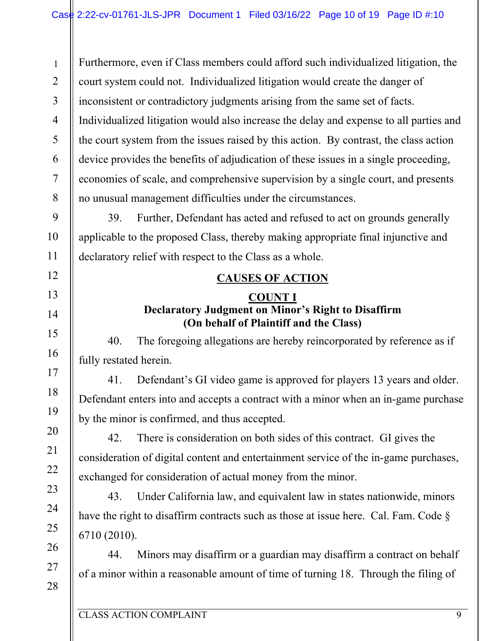1 2 3 4 5 6 7 Furthermore, even if Class members could afford such individualized litigation, the court system could not. Individualized litigation would create the danger of inconsistent or contradictory judgments arising from the same set of facts. Individualized litigation would also increase the delay and expense to all parties and the court system from the issues raised by this action. By contrast, the class action device provides the benefits of adjudication of these issues in a single proceeding, economies of scale, and comprehensive supervision by a single court, and presents no unusual management difficulties under the circumstances.

39. Further, Defendant has acted and refused to act on grounds generally applicable to the proposed Class, thereby making appropriate final injunctive and declaratory relief with respect to the Class as a whole.

## **CAUSES OF ACTION**

## **COUNT I Declaratory Judgment on Minor's Right to Disaffirm (On behalf of Plaintiff and the Class)**

40. The foregoing allegations are hereby reincorporated by reference as if fully restated herein.

41. Defendant's GI video game is approved for players 13 years and older. Defendant enters into and accepts a contract with a minor when an in-game purchase by the minor is confirmed, and thus accepted.

42. There is consideration on both sides of this contract. GI gives the consideration of digital content and entertainment service of the in-game purchases, exchanged for consideration of actual money from the minor.

43. Under California law, and equivalent law in states nationwide, minors have the right to disaffirm contracts such as those at issue here. Cal. Fam. Code § 6710 (2010).

44. Minors may disaffirm or a guardian may disaffirm a contract on behalf of a minor within a reasonable amount of time of turning 18. Through the filing of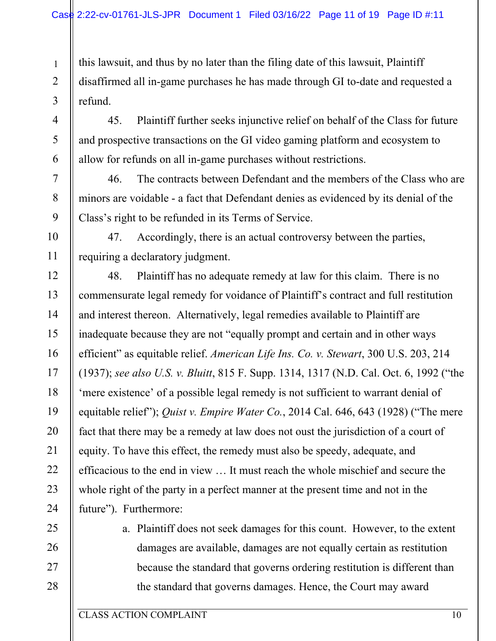this lawsuit, and thus by no later than the filing date of this lawsuit, Plaintiff disaffirmed all in-game purchases he has made through GI to-date and requested a refund.

45. Plaintiff further seeks injunctive relief on behalf of the Class for future and prospective transactions on the GI video gaming platform and ecosystem to allow for refunds on all in-game purchases without restrictions.

46. The contracts between Defendant and the members of the Class who are minors are voidable - a fact that Defendant denies as evidenced by its denial of the Class's right to be refunded in its Terms of Service.

47. Accordingly, there is an actual controversy between the parties, requiring a declaratory judgment.

48. Plaintiff has no adequate remedy at law for this claim. There is no commensurate legal remedy for voidance of Plaintiff's contract and full restitution and interest thereon. Alternatively, legal remedies available to Plaintiff are inadequate because they are not "equally prompt and certain and in other ways efficient" as equitable relief. *American Life Ins. Co. v. Stewart*, 300 U.S. 203, 214 (1937); *see also U.S. v. Bluitt*, 815 F. Supp. 1314, 1317 (N.D. Cal. Oct. 6, 1992 ("the 'mere existence' of a possible legal remedy is not sufficient to warrant denial of equitable relief"); *Quist v. Empire Water Co.*, 2014 Cal. 646, 643 (1928) ("The mere fact that there may be a remedy at law does not oust the jurisdiction of a court of equity. To have this effect, the remedy must also be speedy, adequate, and efficacious to the end in view … It must reach the whole mischief and secure the whole right of the party in a perfect manner at the present time and not in the future"). Furthermore:

> a. Plaintiff does not seek damages for this count. However, to the extent damages are available, damages are not equally certain as restitution because the standard that governs ordering restitution is different than the standard that governs damages. Hence, the Court may award

1

2

3

4

5

6

7

8

9

10

11

12

13

14

15

16

17

18

19

20

21

22

23

24

25

26

27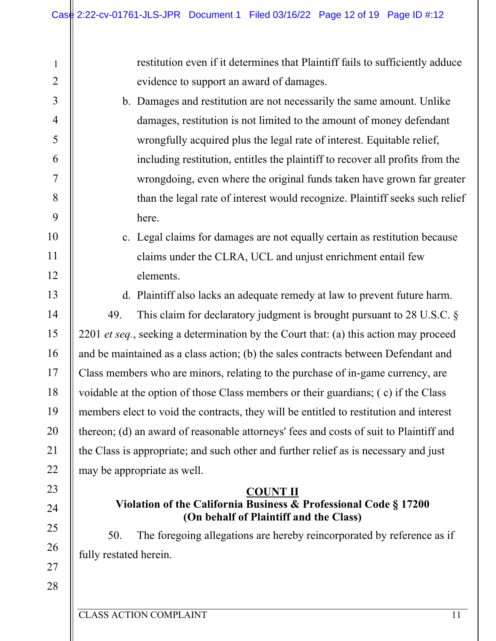restitution even if it determines that Plaintiff fails to sufficiently adduce evidence to support an award of damages.

- b. Damages and restitution are not necessarily the same amount. Unlike damages, restitution is not limited to the amount of money defendant wrongfully acquired plus the legal rate of interest. Equitable relief, including restitution, entitles the plaintiff to recover all profits from the wrongdoing, even where the original funds taken have grown far greater than the legal rate of interest would recognize. Plaintiff seeks such relief here.
- 10 11 12

13

14

15

16

17

18

19

20

21

22

23

24

25

26

1

2

3

4

5

6

7

8

9

claims under the CLRA, UCL and unjust enrichment entail few elements.

c. Legal claims for damages are not equally certain as restitution because

d. Plaintiff also lacks an adequate remedy at law to prevent future harm.

49. This claim for declaratory judgment is brought pursuant to 28 U.S.C. § 2201 *et seq.*, seeking a determination by the Court that: (a) this action may proceed and be maintained as a class action; (b) the sales contracts between Defendant and Class members who are minors, relating to the purchase of in-game currency, are voidable at the option of those Class members or their guardians; ( c) if the Class members elect to void the contracts, they will be entitled to restitution and interest thereon; (d) an award of reasonable attorneys' fees and costs of suit to Plaintiff and the Class is appropriate; and such other and further relief as is necessary and just may be appropriate as well.

#### **COUNT II**

# **Violation of the California Business & Professional Code § 17200 (On behalf of Plaintiff and the Class)**

50. The foregoing allegations are hereby reincorporated by reference as if fully restated herein.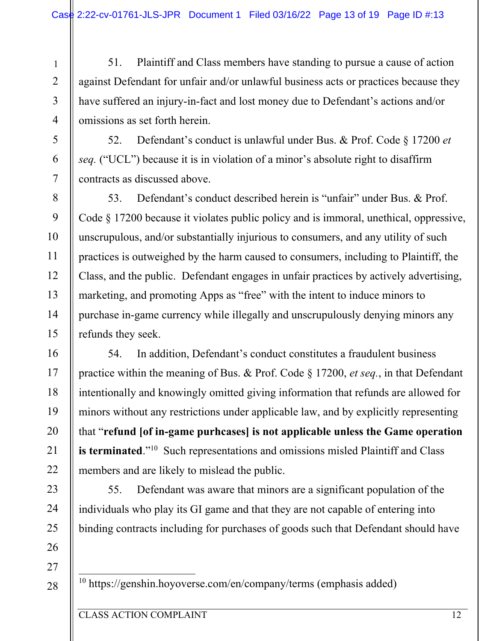51. Plaintiff and Class members have standing to pursue a cause of action against Defendant for unfair and/or unlawful business acts or practices because they have suffered an injury-in-fact and lost money due to Defendant's actions and/or omissions as set forth herein.

52. Defendant's conduct is unlawful under Bus. & Prof. Code § 17200 *et seq.* ("UCL") because it is in violation of a minor's absolute right to disaffirm contracts as discussed above.

53. Defendant's conduct described herein is "unfair" under Bus. & Prof. Code § 17200 because it violates public policy and is immoral, unethical, oppressive, unscrupulous, and/or substantially injurious to consumers, and any utility of such practices is outweighed by the harm caused to consumers, including to Plaintiff, the Class, and the public. Defendant engages in unfair practices by actively advertising, marketing, and promoting Apps as "free" with the intent to induce minors to purchase in-game currency while illegally and unscrupulously denying minors any refunds they seek.

54. In addition, Defendant's conduct constitutes a fraudulent business practice within the meaning of Bus. & Prof. Code § 17200, *et seq.*, in that Defendant intentionally and knowingly omitted giving information that refunds are allowed for minors without any restrictions under applicable law, and by explicitly representing that "**refund [of in-game purhcases] is not applicable unless the Game operation is terminated.**"<sup>10</sup> Such representations and omissions misled Plaintiff and Class members and are likely to mislead the public.

55. Defendant was aware that minors are a significant population of the individuals who play its GI game and that they are not capable of entering into binding contracts including for purchases of goods such that Defendant should have

27

28

1

2

3

4

5

6

7

8

9

10

11

12

13

14

15

16

17

18

19

20

21

22

23

24

25

26

<sup>10</sup> https://genshin.hoyoverse.com/en/company/terms (emphasis added)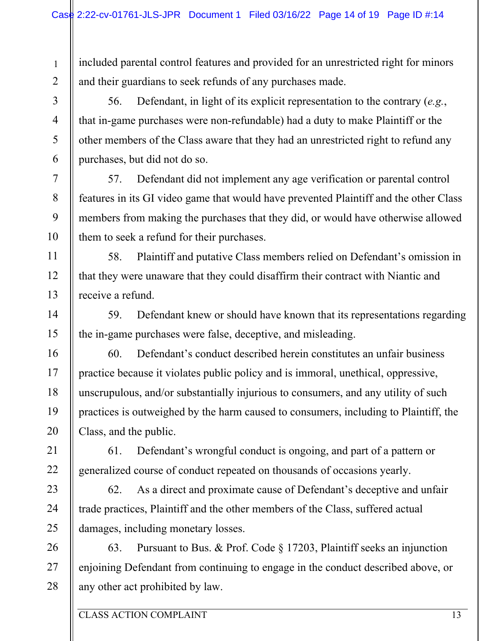included parental control features and provided for an unrestricted right for minors and their guardians to seek refunds of any purchases made.

56. Defendant, in light of its explicit representation to the contrary (*e.g.*, that in-game purchases were non-refundable) had a duty to make Plaintiff or the other members of the Class aware that they had an unrestricted right to refund any purchases, but did not do so.

57. Defendant did not implement any age verification or parental control features in its GI video game that would have prevented Plaintiff and the other Class members from making the purchases that they did, or would have otherwise allowed them to seek a refund for their purchases.

58. Plaintiff and putative Class members relied on Defendant's omission in that they were unaware that they could disaffirm their contract with Niantic and receive a refund.

59. Defendant knew or should have known that its representations regarding the in-game purchases were false, deceptive, and misleading.

60. Defendant's conduct described herein constitutes an unfair business practice because it violates public policy and is immoral, unethical, oppressive, unscrupulous, and/or substantially injurious to consumers, and any utility of such practices is outweighed by the harm caused to consumers, including to Plaintiff, the Class, and the public.

61. Defendant's wrongful conduct is ongoing, and part of a pattern or generalized course of conduct repeated on thousands of occasions yearly.

62. As a direct and proximate cause of Defendant's deceptive and unfair trade practices, Plaintiff and the other members of the Class, suffered actual damages, including monetary losses.

63. Pursuant to Bus. & Prof. Code § 17203, Plaintiff seeks an injunction enjoining Defendant from continuing to engage in the conduct described above, or any other act prohibited by law.

1

2

3

4

5

6

7

8

9

10

11

12

13

14

15

16

17

18

19

20

21

22

23

24

25

26

27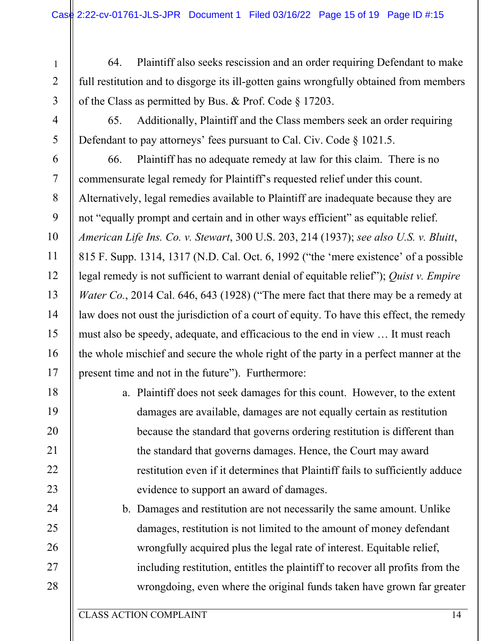64. Plaintiff also seeks rescission and an order requiring Defendant to make full restitution and to disgorge its ill-gotten gains wrongfully obtained from members of the Class as permitted by Bus. & Prof. Code § 17203.

65. Additionally, Plaintiff and the Class members seek an order requiring Defendant to pay attorneys' fees pursuant to Cal. Civ. Code  $\S$  1021.5.

66. Plaintiff has no adequate remedy at law for this claim. There is no commensurate legal remedy for Plaintiff's requested relief under this count. Alternatively, legal remedies available to Plaintiff are inadequate because they are not "equally prompt and certain and in other ways efficient" as equitable relief. *American Life Ins. Co. v. Stewart*, 300 U.S. 203, 214 (1937); *see also U.S. v. Bluitt*, 815 F. Supp. 1314, 1317 (N.D. Cal. Oct. 6, 1992 ("the 'mere existence' of a possible legal remedy is not sufficient to warrant denial of equitable relief"); *Quist v. Empire Water Co.*, 2014 Cal. 646, 643 (1928) ("The mere fact that there may be a remedy at law does not oust the jurisdiction of a court of equity. To have this effect, the remedy must also be speedy, adequate, and efficacious to the end in view … It must reach the whole mischief and secure the whole right of the party in a perfect manner at the present time and not in the future"). Furthermore:

- a. Plaintiff does not seek damages for this count. However, to the extent damages are available, damages are not equally certain as restitution because the standard that governs ordering restitution is different than the standard that governs damages. Hence, the Court may award restitution even if it determines that Plaintiff fails to sufficiently adduce evidence to support an award of damages.
	- b. Damages and restitution are not necessarily the same amount. Unlike damages, restitution is not limited to the amount of money defendant wrongfully acquired plus the legal rate of interest. Equitable relief, including restitution, entitles the plaintiff to recover all profits from the wrongdoing, even where the original funds taken have grown far greater

1

2

3

4

5

6

7

8

9

10

11

12

13

14

15

16

17

18

19

20

21

22

23

24

25

26

27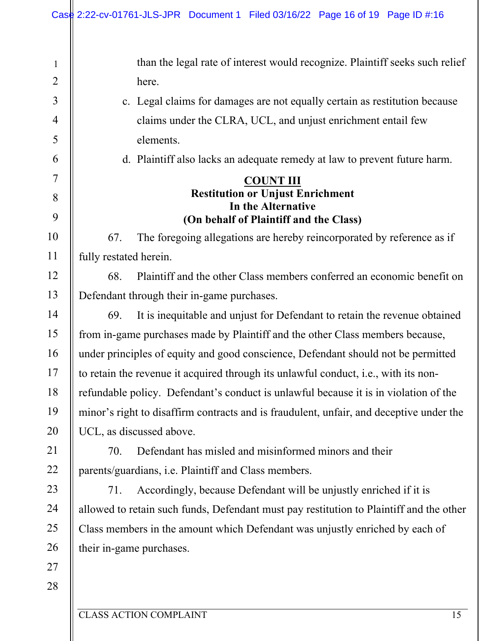|                | Case 2:22-cv-01761-JLS-JPR Document 1 Filed 03/16/22 Page 16 of 19 Page ID #:16             |  |
|----------------|---------------------------------------------------------------------------------------------|--|
|                |                                                                                             |  |
| $\mathbf{1}$   | than the legal rate of interest would recognize. Plaintiff seeks such relief                |  |
| $\overline{2}$ | here.                                                                                       |  |
| $\overline{3}$ | c. Legal claims for damages are not equally certain as restitution because                  |  |
| $\overline{4}$ | claims under the CLRA, UCL, and unjust enrichment entail few                                |  |
| 5              | elements.                                                                                   |  |
| 6              | d. Plaintiff also lacks an adequate remedy at law to prevent future harm.                   |  |
| $\overline{7}$ | <b>COUNT III</b>                                                                            |  |
| 8              | <b>Restitution or Unjust Enrichment</b><br>In the Alternative                               |  |
| 9              | (On behalf of Plaintiff and the Class)                                                      |  |
| 10             | The foregoing allegations are hereby reincorporated by reference as if<br>67.               |  |
| 11             | fully restated herein.                                                                      |  |
| 12             | Plaintiff and the other Class members conferred an economic benefit on<br>68.               |  |
| 13             | Defendant through their in-game purchases.                                                  |  |
| 14             | It is inequitable and unjust for Defendant to retain the revenue obtained<br>69.            |  |
| 15             | from in-game purchases made by Plaintiff and the other Class members because,               |  |
| 16             | under principles of equity and good conscience, Defendant should not be permitted           |  |
| 17             | to retain the revenue it acquired through its unlawful conduct, <i>i.e.</i> , with its non- |  |
| 18             | refundable policy. Defendant's conduct is unlawful because it is in violation of the        |  |
| 19             | minor's right to disaffirm contracts and is fraudulent, unfair, and deceptive under the     |  |
| 20             | UCL, as discussed above.                                                                    |  |
| 21             | Defendant has misled and misinformed minors and their<br>70.                                |  |
| 22             | parents/guardians, i.e. Plaintiff and Class members.                                        |  |
| 23             | Accordingly, because Defendant will be unjustly enriched if it is<br>71.                    |  |
| 24             | allowed to retain such funds, Defendant must pay restitution to Plaintiff and the other     |  |
| 25             | Class members in the amount which Defendant was unjustly enriched by each of                |  |
| 26             | their in-game purchases.                                                                    |  |
| 27             |                                                                                             |  |
| 28             |                                                                                             |  |
|                |                                                                                             |  |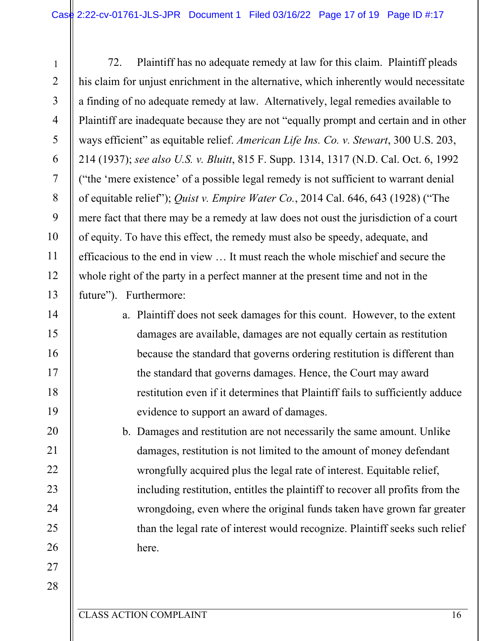72. Plaintiff has no adequate remedy at law for this claim. Plaintiff pleads his claim for unjust enrichment in the alternative, which inherently would necessitate a finding of no adequate remedy at law. Alternatively, legal remedies available to Plaintiff are inadequate because they are not "equally prompt and certain and in other ways efficient" as equitable relief. *American Life Ins. Co. v. Stewart*, 300 U.S. 203, 214 (1937); *see also U.S. v. Bluitt*, 815 F. Supp. 1314, 1317 (N.D. Cal. Oct. 6, 1992 ("the 'mere existence' of a possible legal remedy is not sufficient to warrant denial of equitable relief"); *Quist v. Empire Water Co.*, 2014 Cal. 646, 643 (1928) ("The mere fact that there may be a remedy at law does not oust the jurisdiction of a court of equity. To have this effect, the remedy must also be speedy, adequate, and efficacious to the end in view … It must reach the whole mischief and secure the whole right of the party in a perfect manner at the present time and not in the future"). Furthermore:

a. Plaintiff does not seek damages for this count. However, to the extent damages are available, damages are not equally certain as restitution because the standard that governs ordering restitution is different than the standard that governs damages. Hence, the Court may award restitution even if it determines that Plaintiff fails to sufficiently adduce evidence to support an award of damages.

b. Damages and restitution are not necessarily the same amount. Unlike damages, restitution is not limited to the amount of money defendant wrongfully acquired plus the legal rate of interest. Equitable relief, including restitution, entitles the plaintiff to recover all profits from the wrongdoing, even where the original funds taken have grown far greater than the legal rate of interest would recognize. Plaintiff seeks such relief here.

1

2

3

4

5

6

7

8

9

10

11

12

13

14

15

16

17

18

19

20

21

22

23

24

25

26

27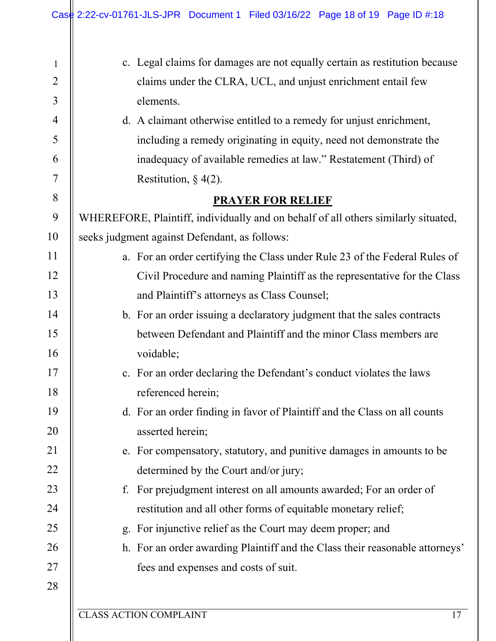|                | Case 2:22-cv-01761-JLS-JPR Document 1 Filed 03/16/22 Page 18 of 19 Page ID #:18    |  |  |
|----------------|------------------------------------------------------------------------------------|--|--|
|                |                                                                                    |  |  |
| $\mathbf{1}$   | c. Legal claims for damages are not equally certain as restitution because         |  |  |
| $\overline{2}$ | claims under the CLRA, UCL, and unjust enrichment entail few                       |  |  |
| 3              | elements.                                                                          |  |  |
| $\overline{4}$ | d. A claimant otherwise entitled to a remedy for unjust enrichment,                |  |  |
| 5              | including a remedy originating in equity, need not demonstrate the                 |  |  |
| 6              | inadequacy of available remedies at law." Restatement (Third) of                   |  |  |
| 7              | Restitution, $\S$ 4(2).                                                            |  |  |
| 8              | <b>PRAYER FOR RELIEF</b>                                                           |  |  |
| 9              | WHEREFORE, Plaintiff, individually and on behalf of all others similarly situated, |  |  |
| 10             | seeks judgment against Defendant, as follows:                                      |  |  |
| 11             | a. For an order certifying the Class under Rule 23 of the Federal Rules of         |  |  |
| 12             | Civil Procedure and naming Plaintiff as the representative for the Class           |  |  |
| 13             | and Plaintiff's attorneys as Class Counsel;                                        |  |  |
| 14             | b. For an order issuing a declaratory judgment that the sales contracts            |  |  |
| 15             | between Defendant and Plaintiff and the minor Class members are                    |  |  |
| 16             | voidable;                                                                          |  |  |
| 17             | c. For an order declaring the Defendant's conduct violates the laws                |  |  |
| 18             | referenced herein;                                                                 |  |  |
| 19             | d. For an order finding in favor of Plaintiff and the Class on all counts          |  |  |
| 20             | asserted herein;                                                                   |  |  |
| 21             | e. For compensatory, statutory, and punitive damages in amounts to be              |  |  |
| 22             | determined by the Court and/or jury;                                               |  |  |
| 23             | For prejudgment interest on all amounts awarded; For an order of<br>f.             |  |  |
| 24             | restitution and all other forms of equitable monetary relief;                      |  |  |
| 25             | g. For injunctive relief as the Court may deem proper; and                         |  |  |
| 26             | h. For an order awarding Plaintiff and the Class their reasonable attorneys'       |  |  |
| 27             | fees and expenses and costs of suit.                                               |  |  |
| 28             |                                                                                    |  |  |
|                |                                                                                    |  |  |